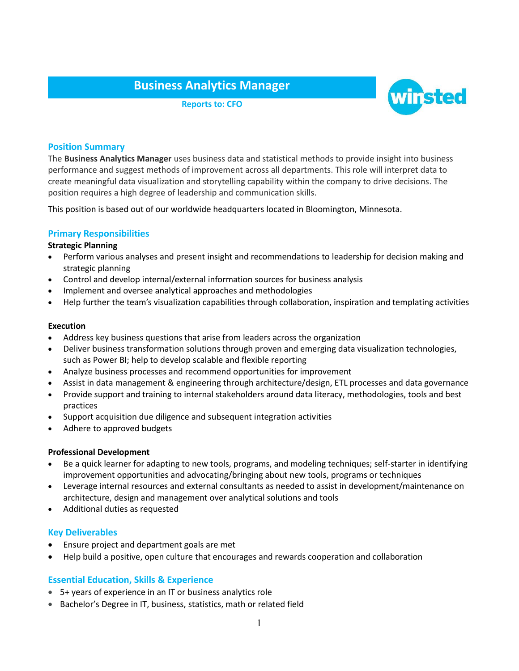# **Business Analytics Manager**

**Reports to: CFO**



# **Position Summary**

The **Business Analytics Manager** uses business data and statistical methods to provide insight into business performance and suggest methods of improvement across all departments. This role will interpret data to create meaningful data visualization and storytelling capability within the company to drive decisions. The position requires a high degree of leadership and communication skills.

This position is based out of our worldwide headquarters located in Bloomington, Minnesota.

# **Primary Responsibilities**

#### **Strategic Planning**

- Perform various analyses and present insight and recommendations to leadership for decision making and strategic planning
- Control and develop internal/external information sources for business analysis
- Implement and oversee analytical approaches and methodologies
- Help further the team's visualization capabilities through collaboration, inspiration and templating activities

#### **Execution**

- Address key business questions that arise from leaders across the organization
- Deliver business transformation solutions through proven and emerging data visualization technologies, such as Power BI; help to develop scalable and flexible reporting
- Analyze business processes and recommend opportunities for improvement
- Assist in data management & engineering through architecture/design, ETL processes and data governance
- Provide support and training to internal stakeholders around data literacy, methodologies, tools and best practices
- Support acquisition due diligence and subsequent integration activities
- Adhere to approved budgets

#### **Professional Development**

- Be a quick learner for adapting to new tools, programs, and modeling techniques; self-starter in identifying improvement opportunities and advocating/bringing about new tools, programs or techniques
- Leverage internal resources and external consultants as needed to assist in development/maintenance on architecture, design and management over analytical solutions and tools
- Additional duties as requested

## **Key Deliverables**

- Ensure project and department goals are met
- Help build a positive, open culture that encourages and rewards cooperation and collaboration

# **Essential Education, Skills & Experience**

- 5+ years of experience in an IT or business analytics role
- Bachelor's Degree in IT, business, statistics, math or related field